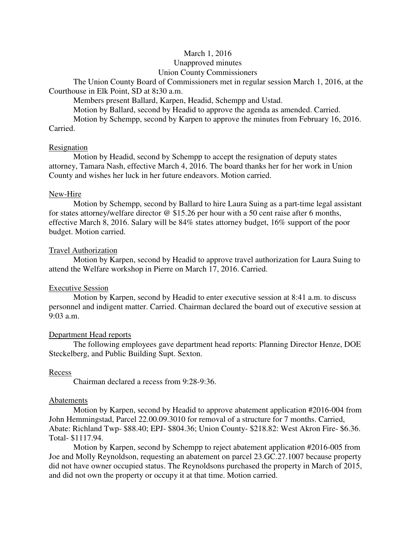# March 1, 2016

# Unapproved minutes

## Union County Commissioners

The Union County Board of Commissioners met in regular session March 1, 2016, at the Courthouse in Elk Point, SD at 8**:**30 a.m.

Members present Ballard, Karpen, Headid, Schempp and Ustad.

Motion by Ballard, second by Headid to approve the agenda as amended. Carried.

 Motion by Schempp, second by Karpen to approve the minutes from February 16, 2016. Carried.

## Resignation

 Motion by Headid, second by Schempp to accept the resignation of deputy states attorney, Tamara Nash, effective March 4, 2016. The board thanks her for her work in Union County and wishes her luck in her future endeavors. Motion carried.

## New-Hire

 Motion by Schempp, second by Ballard to hire Laura Suing as a part-time legal assistant for states attorney/welfare director @ \$15.26 per hour with a 50 cent raise after 6 months, effective March 8, 2016. Salary will be 84% states attorney budget, 16% support of the poor budget. Motion carried.

# Travel Authorization

 Motion by Karpen, second by Headid to approve travel authorization for Laura Suing to attend the Welfare workshop in Pierre on March 17, 2016. Carried.

# Executive Session

 Motion by Karpen, second by Headid to enter executive session at 8:41 a.m. to discuss personnel and indigent matter. Carried. Chairman declared the board out of executive session at 9:03 a.m.

# Department Head reports

 The following employees gave department head reports: Planning Director Henze, DOE Steckelberg, and Public Building Supt. Sexton.

# Recess

Chairman declared a recess from 9:28-9:36.

## Abatements

 Motion by Karpen, second by Headid to approve abatement application #2016-004 from John Hemmingstad, Parcel 22.00.09.3010 for removal of a structure for 7 months. Carried, Abate: Richland Twp- \$88.40; EPJ- \$804.36; Union County- \$218.82: West Akron Fire- \$6.36. Total- \$1117.94.

 Motion by Karpen, second by Schempp to reject abatement application #2016-005 from Joe and Molly Reynoldson, requesting an abatement on parcel 23.GC.27.1007 because property did not have owner occupied status. The Reynoldsons purchased the property in March of 2015, and did not own the property or occupy it at that time. Motion carried.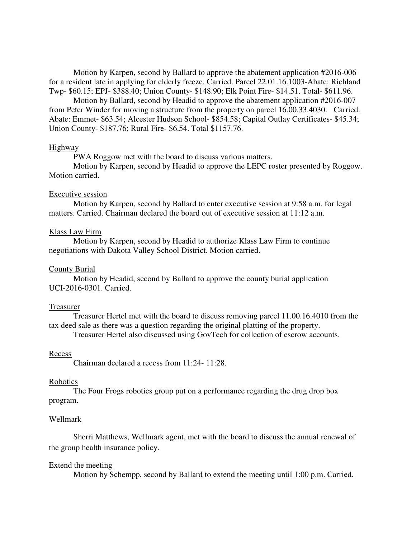Motion by Karpen, second by Ballard to approve the abatement application #2016-006 for a resident late in applying for elderly freeze. Carried. Parcel 22.01.16.1003-Abate: Richland Twp- \$60.15; EPJ- \$388.40; Union County- \$148.90; Elk Point Fire- \$14.51. Total- \$611.96.

 Motion by Ballard, second by Headid to approve the abatement application #2016-007 from Peter Winder for moving a structure from the property on parcel 16.00.33.4030. Carried. Abate: Emmet- \$63.54; Alcester Hudson School- \$854.58; Capital Outlay Certificates- \$45.34; Union County- \$187.76; Rural Fire- \$6.54. Total \$1157.76.

#### Highway

PWA Roggow met with the board to discuss various matters.

 Motion by Karpen, second by Headid to approve the LEPC roster presented by Roggow. Motion carried.

#### Executive session

 Motion by Karpen, second by Ballard to enter executive session at 9:58 a.m. for legal matters. Carried. Chairman declared the board out of executive session at 11:12 a.m.

#### Klass Law Firm

 Motion by Karpen, second by Headid to authorize Klass Law Firm to continue negotiations with Dakota Valley School District. Motion carried.

#### County Burial

 Motion by Headid, second by Ballard to approve the county burial application UCI-2016-0301. Carried.

#### Treasurer

 Treasurer Hertel met with the board to discuss removing parcel 11.00.16.4010 from the tax deed sale as there was a question regarding the original platting of the property.

Treasurer Hertel also discussed using GovTech for collection of escrow accounts.

#### Recess

Chairman declared a recess from 11:24- 11:28.

#### Robotics

 The Four Frogs robotics group put on a performance regarding the drug drop box program.

#### Wellmark

 Sherri Matthews, Wellmark agent, met with the board to discuss the annual renewal of the group health insurance policy.

#### Extend the meeting

Motion by Schempp, second by Ballard to extend the meeting until 1:00 p.m. Carried.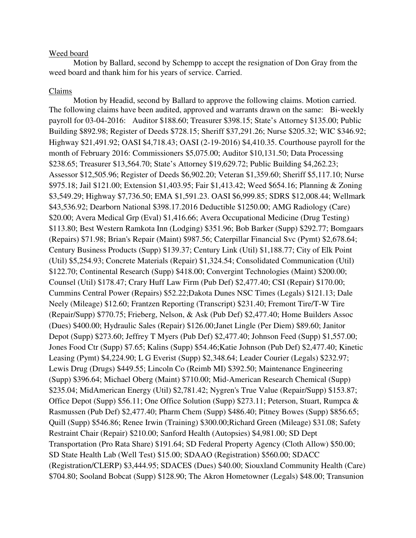#### Weed board

 Motion by Ballard, second by Schempp to accept the resignation of Don Gray from the weed board and thank him for his years of service. Carried.

#### Claims

 Motion by Headid, second by Ballard to approve the following claims. Motion carried. The following claims have been audited, approved and warrants drawn on the same: Bi-weekly payroll for 03-04-2016: Auditor \$188.60; Treasurer \$398.15; State's Attorney \$135.00; Public Building \$892.98; Register of Deeds \$728.15; Sheriff \$37,291.26; Nurse \$205.32; WIC \$346.92; Highway \$21,491.92; OASI \$4,718.43; OASI (2-19-2016) \$4,410.35. Courthouse payroll for the month of February 2016: Commissioners \$5,075.00; Auditor \$10,131.50; Data Processing \$238.65; Treasurer \$13,564.70; State's Attorney \$19,629.72; Public Building \$4,262.23; Assessor \$12,505.96; Register of Deeds \$6,902.20; Veteran \$1,359.60; Sheriff \$5,117.10; Nurse \$975.18; Jail \$121.00; Extension \$1,403.95; Fair \$1,413.42; Weed \$654.16; Planning & Zoning \$3,549.29; Highway \$7,736.50; EMA \$1,591.23. OASI \$6,999.85; SDRS \$12,008.44; Wellmark \$43,536.92; Dearborn National \$398.17.2016 Deductible \$1250.00; AMG Radiology (Care) \$20.00; Avera Medical Grp (Eval) \$1,416.66; Avera Occupational Medicine (Drug Testing) \$113.80; Best Western Ramkota Inn (Lodging) \$351.96; Bob Barker (Supp) \$292.77; Bomgaars (Repairs) \$71.98; Brian's Repair (Maint) \$987.56; Caterpillar Financial Svc (Pymt) \$2,678.64; Century Business Products (Supp) \$139.37; Century Link (Util) \$1,188.77; City of Elk Point (Util) \$5,254.93; Concrete Materials (Repair) \$1,324.54; Consolidated Communication (Util) \$122.70; Continental Research (Supp) \$418.00; Convergint Technologies (Maint) \$200.00; Counsel (Util) \$178.47; Crary Huff Law Firm (Pub Def) \$2,477.40; CSI (Repair) \$170.00; Cummins Central Power (Repairs) \$52.22;Dakota Dunes NSC Times (Legals) \$121.13; Dale Neely (Mileage) \$12.60; Frantzen Reporting (Transcript) \$231.40; Fremont Tire/T-W Tire (Repair/Supp) \$770.75; Frieberg, Nelson, & Ask (Pub Def) \$2,477.40; Home Builders Assoc (Dues) \$400.00; Hydraulic Sales (Repair) \$126.00;Janet Lingle (Per Diem) \$89.60; Janitor Depot (Supp) \$273.60; Jeffrey T Myers (Pub Def) \$2,477.40; Johnson Feed (Supp) \$1,557.00; Jones Food Ctr (Supp) \$7.65; Kalins (Supp) \$54.46;Katie Johnson (Pub Def) \$2,477.40; Kinetic Leasing (Pymt) \$4,224.90; L G Everist (Supp) \$2,348.64; Leader Courier (Legals) \$232.97; Lewis Drug (Drugs) \$449.55; Lincoln Co (Reimb MI) \$392.50; Maintenance Engineering (Supp) \$396.64; Michael Oberg (Maint) \$710.00; Mid-American Research Chemical (Supp) \$235.04; MidAmerican Energy (Util) \$2,781.42; Nygren's True Value (Repair/Supp) \$153.87; Office Depot (Supp) \$56.11; One Office Solution (Supp) \$273.11; Peterson, Stuart, Rumpca & Rasmussen (Pub Def) \$2,477.40; Pharm Chem (Supp) \$486.40; Pitney Bowes (Supp) \$856.65; Quill (Supp) \$546.86; Renee Irwin (Training) \$300.00;Richard Green (Mileage) \$31.08; Safety Restraint Chair (Repair) \$210.00; Sanford Health (Autopsies) \$4,981.00; SD Dept Transportation (Pro Rata Share) \$191.64; SD Federal Property Agency (Cloth Allow) \$50.00; SD State Health Lab (Well Test) \$15.00; SDAAO (Registration) \$560.00; SDACC (Registration/CLERP) \$3,444.95; SDACES (Dues) \$40.00; Siouxland Community Health (Care) \$704.80; Sooland Bobcat (Supp) \$128.90; The Akron Hometowner (Legals) \$48.00; Transunion